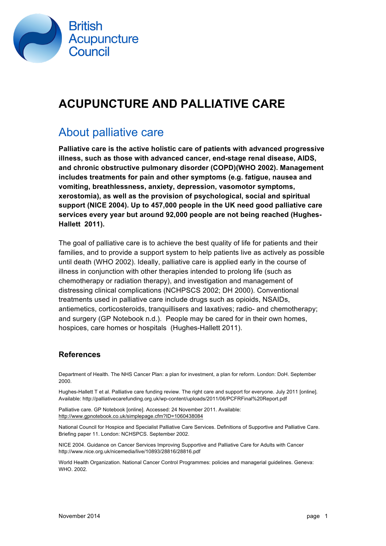

# **ACUPUNCTURE AND PALLIATIVE CARE**

### About palliative care

**Palliative care is the active holistic care of patients with advanced progressive illness, such as those with advanced cancer, end-stage renal disease, AIDS, and chronic obstructive pulmonary disorder (COPD)(WHO 2002). Management includes treatments for pain and other symptoms (e.g. fatigue, nausea and vomiting, breathlessness, anxiety, depression, vasomotor symptoms, xerostomia), as well as the provision of psychological, social and spiritual support (NICE 2004). Up to 457,000 people in the UK need good palliative care services every year but around 92,000 people are not being reached (Hughes-Hallett 2011).**

The goal of palliative care is to achieve the best quality of life for patients and their families, and to provide a support system to help patients live as actively as possible until death (WHO 2002). Ideally, palliative care is applied early in the course of illness in conjunction with other therapies intended to prolong life (such as chemotherapy or radiation therapy), and investigation and management of distressing clinical complications (NCHPSCS 2002; DH 2000). Conventional treatments used in palliative care include drugs such as opioids, NSAIDs, antiemetics, corticosteroids, tranquillisers and laxatives; radio- and chemotherapy; and surgery (GP Notebook n.d.). People may be cared for in their own homes, hospices, care homes or hospitals (Hughes-Hallett 2011).

### **References**

Department of Health. The NHS Cancer Plan: a plan for investment, a plan for reform. London: DoH. September 2000.

Hughes-Hallett T et al. Palliative care funding review. The right care and support for everyone. July 2011 [online]. Available: http://palliativecarefunding.org.uk/wp-content/uploads/2011/06/PCFRFinal%20Report.pdf

Palliative care. GP Notebook [online]. Accessed: 24 November 2011. Available: http://www.gpnotebook.co.uk/simplepage.cfm?ID=1060438084

National Council for Hospice and Specialist Palliative Care Services. Definitions of Supportive and Palliative Care. Briefing paper 11. London: NCHSPCS. September 2002.

NICE 2004. Guidance on Cancer Services Improving Supportive and Palliative Care for Adults with Cancer http://www.nice.org.uk/nicemedia/live/10893/28816/28816.pdf

World Health Organization. National Cancer Control Programmes: policies and managerial guidelines. Geneva: WHO. 2002.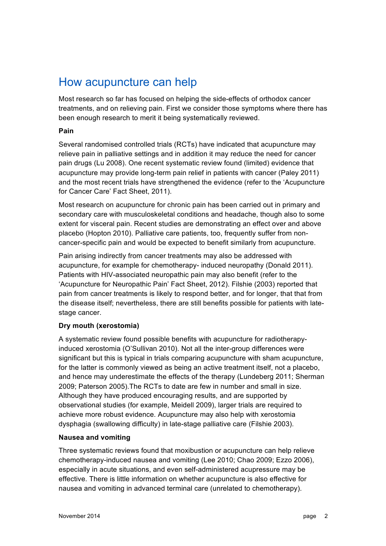## How acupuncture can help

Most research so far has focused on helping the side-effects of orthodox cancer treatments, and on relieving pain. First we consider those symptoms where there has been enough research to merit it being systematically reviewed.

### **Pain**

Several randomised controlled trials (RCTs) have indicated that acupuncture may relieve pain in palliative settings and in addition it may reduce the need for cancer pain drugs (Lu 2008). One recent systematic review found (limited) evidence that acupuncture may provide long-term pain relief in patients with cancer (Paley 2011) and the most recent trials have strengthened the evidence (refer to the 'Acupuncture for Cancer Care' Fact Sheet, 2011).

Most research on acupuncture for chronic pain has been carried out in primary and secondary care with musculoskeletal conditions and headache, though also to some extent for visceral pain. Recent studies are demonstrating an effect over and above placebo (Hopton 2010). Palliative care patients, too, frequently suffer from noncancer-specific pain and would be expected to benefit similarly from acupuncture.

Pain arising indirectly from cancer treatments may also be addressed with acupuncture, for example for chemotherapy- induced neuropathy (Donald 2011). Patients with HIV-associated neuropathic pain may also benefit (refer to the 'Acupuncture for Neuropathic Pain' Fact Sheet, 2012). Filshie (2003) reported that pain from cancer treatments is likely to respond better, and for longer, that that from the disease itself; nevertheless, there are still benefits possible for patients with latestage cancer.

### **Dry mouth (xerostomia)**

A systematic review found possible benefits with acupuncture for radiotherapyinduced xerostomia (O'Sullivan 2010). Not all the inter-group differences were significant but this is typical in trials comparing acupuncture with sham acupuncture, for the latter is commonly viewed as being an active treatment itself, not a placebo, and hence may underestimate the effects of the therapy (Lundeberg 2011; Sherman 2009; Paterson 2005).The RCTs to date are few in number and small in size. Although they have produced encouraging results, and are supported by observational studies (for example, Meidell 2009), larger trials are required to achieve more robust evidence. Acupuncture may also help with xerostomia dysphagia (swallowing difficulty) in late-stage palliative care (Filshie 2003).

#### **Nausea and vomiting**

Three systematic reviews found that moxibustion or acupuncture can help relieve chemotherapy-induced nausea and vomiting (Lee 2010; Chao 2009; Ezzo 2006), especially in acute situations, and even self-administered acupressure may be effective. There is little information on whether acupuncture is also effective for nausea and vomiting in advanced terminal care (unrelated to chemotherapy).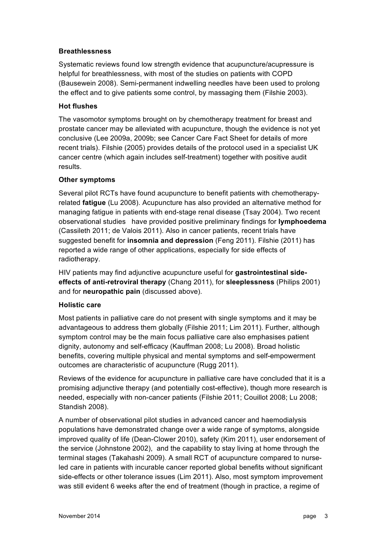#### **Breathlessness**

Systematic reviews found low strength evidence that acupuncture/acupressure is helpful for breathlessness, with most of the studies on patients with COPD (Bausewein 2008). Semi-permanent indwelling needles have been used to prolong the effect and to give patients some control, by massaging them (Filshie 2003).

#### **Hot flushes**

The vasomotor symptoms brought on by chemotherapy treatment for breast and prostate cancer may be alleviated with acupuncture, though the evidence is not yet conclusive (Lee 2009a, 2009b; see Cancer Care Fact Sheet for details of more recent trials). Filshie (2005) provides details of the protocol used in a specialist UK cancer centre (which again includes self-treatment) together with positive audit results.

#### **Other symptoms**

Several pilot RCTs have found acupuncture to benefit patients with chemotherapyrelated **fatigue** (Lu 2008). Acupuncture has also provided an alternative method for managing fatigue in patients with end-stage renal disease (Tsay 2004). Two recent observational studies have provided positive preliminary findings for **lymphoedema**  (Cassileth 2011; de Valois 2011). Also in cancer patients, recent trials have suggested benefit for **insomnia and depression** (Feng 2011). Filshie (2011) has reported a wide range of other applications, especially for side effects of radiotherapy.

HIV patients may find adjunctive acupuncture useful for **gastrointestinal sideeffects of anti-retroviral therapy** (Chang 2011), for **sleeplessness** (Philips 2001) and for **neuropathic pain** (discussed above).

#### **Holistic care**

Most patients in palliative care do not present with single symptoms and it may be advantageous to address them globally (Filshie 2011; Lim 2011). Further, although symptom control may be the main focus palliative care also emphasises patient dignity, autonomy and self-efficacy (Kauffman 2008; Lu 2008). Broad holistic benefits, covering multiple physical and mental symptoms and self-empowerment outcomes are characteristic of acupuncture (Rugg 2011).

Reviews of the evidence for acupuncture in palliative care have concluded that it is a promising adjunctive therapy (and potentially cost-effective), though more research is needed, especially with non-cancer patients (Filshie 2011; Couillot 2008; Lu 2008; Standish 2008).

A number of observational pilot studies in advanced cancer and haemodialysis populations have demonstrated change over a wide range of symptoms, alongside improved quality of life (Dean-Clower 2010), safety (Kim 2011), user endorsement of the service (Johnstone 2002), and the capability to stay living at home through the terminal stages (Takahashi 2009). A small RCT of acupuncture compared to nurseled care in patients with incurable cancer reported global benefits without significant side-effects or other tolerance issues (Lim 2011). Also, most symptom improvement was still evident 6 weeks after the end of treatment (though in practice, a regime of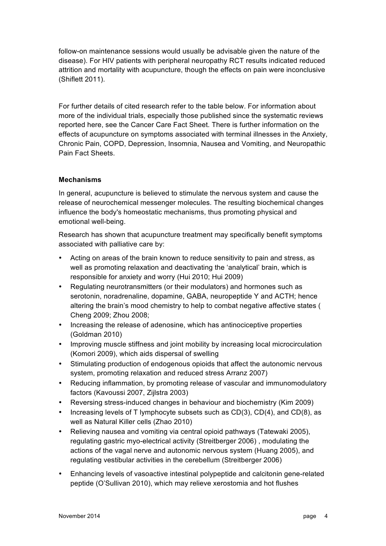follow-on maintenance sessions would usually be advisable given the nature of the disease). For HIV patients with peripheral neuropathy RCT results indicated reduced attrition and mortality with acupuncture, though the effects on pain were inconclusive (Shiflett 2011).

For further details of cited research refer to the table below. For information about more of the individual trials, especially those published since the systematic reviews reported here, see the Cancer Care Fact Sheet. There is further information on the effects of acupuncture on symptoms associated with terminal illnesses in the Anxiety, Chronic Pain, COPD, Depression, Insomnia, Nausea and Vomiting, and Neuropathic Pain Fact Sheets.

#### **Mechanisms**

In general, acupuncture is believed to stimulate the nervous system and cause the release of neurochemical messenger molecules. The resulting biochemical changes influence the body's homeostatic mechanisms, thus promoting physical and emotional well-being.

Research has shown that acupuncture treatment may specifically benefit symptoms associated with palliative care by:

- Acting on areas of the brain known to reduce sensitivity to pain and stress, as well as promoting relaxation and deactivating the 'analytical' brain, which is responsible for anxiety and worry (Hui 2010; Hui 2009)
- Regulating neurotransmitters (or their modulators) and hormones such as serotonin, noradrenaline, dopamine, GABA, neuropeptide Y and ACTH; hence altering the brain's mood chemistry to help to combat negative affective states ( Cheng 2009; Zhou 2008;
- Increasing the release of adenosine, which has antinociceptive properties (Goldman 2010)
- Improving muscle stiffness and joint mobility by increasing local microcirculation (Komori 2009), which aids dispersal of swelling
- Stimulating production of endogenous opioids that affect the autonomic nervous system, promoting relaxation and reduced stress Arranz 2007)
- Reducing inflammation, by promoting release of vascular and immunomodulatory factors (Kavoussi 2007, Zijlstra 2003)
- Reversing stress-induced changes in behaviour and biochemistry (Kim 2009)
- Increasing levels of T lymphocyte subsets such as CD(3), CD(4), and CD(8), as well as Natural Killer cells (Zhao 2010)
- Relieving nausea and vomiting via central opioid pathways (Tatewaki 2005), regulating gastric myo-electrical activity (Streitberger 2006) , modulating the actions of the vagal nerve and autonomic nervous system (Huang 2005), and regulating vestibular activities in the cerebellum (Streitberger 2006)
- Enhancing levels of vasoactive intestinal polypeptide and calcitonin gene-related peptide (O'Sullivan 2010), which may relieve xerostomia and hot flushes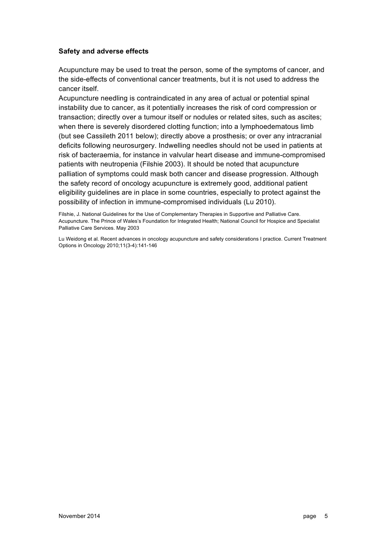#### **Safety and adverse effects**

Acupuncture may be used to treat the person, some of the symptoms of cancer, and the side-effects of conventional cancer treatments, but it is not used to address the cancer itself.

Acupuncture needling is contraindicated in any area of actual or potential spinal instability due to cancer, as it potentially increases the risk of cord compression or transaction; directly over a tumour itself or nodules or related sites, such as ascites; when there is severely disordered clotting function; into a lymphoedematous limb (but see Cassileth 2011 below); directly above a prosthesis; or over any intracranial deficits following neurosurgery. Indwelling needles should not be used in patients at risk of bacteraemia, for instance in valvular heart disease and immune-compromised patients with neutropenia (Filshie 2003). It should be noted that acupuncture palliation of symptoms could mask both cancer and disease progression. Although the safety record of oncology acupuncture is extremely good, additional patient eligibility guidelines are in place in some countries, especially to protect against the possibility of infection in immune-compromised individuals (Lu 2010).

Filshie, J. National Guidelines for the Use of Complementary Therapies in Supportive and Palliative Care. Acupuncture. The Prince of Wales's Foundation for Integrated Health; National Council for Hospice and Specialist Palliative Care Services. May 2003

Lu Weidong et al. Recent advances in oncology acupuncture and safety considerations I practice. Current Treatment Options in Oncology 2010;11(3-4):141-146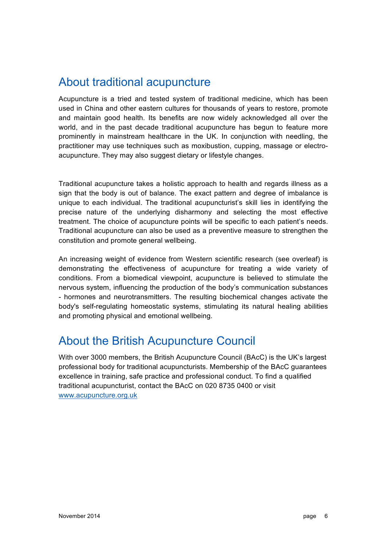### About traditional acupuncture

Acupuncture is a tried and tested system of traditional medicine, which has been used in China and other eastern cultures for thousands of years to restore, promote and maintain good health. Its benefits are now widely acknowledged all over the world, and in the past decade traditional acupuncture has begun to feature more prominently in mainstream healthcare in the UK. In conjunction with needling, the practitioner may use techniques such as moxibustion, cupping, massage or electroacupuncture. They may also suggest dietary or lifestyle changes.

Traditional acupuncture takes a holistic approach to health and regards illness as a sign that the body is out of balance. The exact pattern and degree of imbalance is unique to each individual. The traditional acupuncturist's skill lies in identifying the precise nature of the underlying disharmony and selecting the most effective treatment. The choice of acupuncture points will be specific to each patient's needs. Traditional acupuncture can also be used as a preventive measure to strengthen the constitution and promote general wellbeing.

An increasing weight of evidence from Western scientific research (see overleaf) is demonstrating the effectiveness of acupuncture for treating a wide variety of conditions. From a biomedical viewpoint, acupuncture is believed to stimulate the nervous system, influencing the production of the body's communication substances - hormones and neurotransmitters. The resulting biochemical changes activate the body's self-regulating homeostatic systems, stimulating its natural healing abilities and promoting physical and emotional wellbeing.

## About the British Acupuncture Council

With over 3000 members, the British Acupuncture Council (BAcC) is the UK's largest professional body for traditional acupuncturists. Membership of the BAcC guarantees excellence in training, safe practice and professional conduct. To find a qualified traditional acupuncturist, contact the BAcC on 020 8735 0400 or visit www.acupuncture.org.uk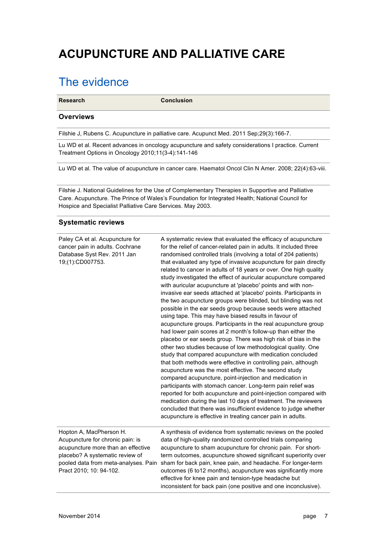# **ACUPUNCTURE AND PALLIATIVE CARE**

## The evidence

**Research Conclusion**

#### **Overviews**

Filshie J, Rubens C. Acupuncture in palliative care. Acupunct Med. 2011 Sep;29(3):166-7.

Lu WD et al. Recent advances in oncology acupuncture and safety considerations I practice. Current Treatment Options in Oncology 2010;11(3-4):141-146

Lu WD et al. The value of acupuncture in cancer care. Haematol Oncol Clin N Amer. 2008; 22(4):63-viii.

Filshie J. National Guidelines for the Use of Complementary Therapies in Supportive and Palliative Care. Acupuncture. The Prince of Wales's Foundation for Integrated Health; National Council for Hospice and Specialist Palliative Care Services. May 2003.

#### **Systematic reviews**

| Paley CA et al. Acupuncture for<br>cancer pain in adults. Cochrane<br>Database Syst Rev. 2011 Jan<br>19;(1):CD007753.                                                                                   | A systematic review that evaluated the efficacy of acupuncture<br>for the relief of cancer-related pain in adults. It included three<br>randomised controlled trials (involving a total of 204 patients)<br>that evaluated any type of invasive acupuncture for pain directly<br>related to cancer in adults of 18 years or over. One high quality<br>study investigated the effect of auricular acupuncture compared<br>with auricular acupuncture at 'placebo' points and with non-<br>invasive ear seeds attached at 'placebo' points. Participants in<br>the two acupuncture groups were blinded, but blinding was not<br>possible in the ear seeds group because seeds were attached<br>using tape. This may have biased results in favour of<br>acupuncture groups. Participants in the real acupuncture group<br>had lower pain scores at 2 month's follow-up than either the<br>placebo or ear seeds group. There was high risk of bias in the<br>other two studies because of low methodological quality. One<br>study that compared acupuncture with medication concluded<br>that both methods were effective in controlling pain, although<br>acupuncture was the most effective. The second study<br>compared acupuncture, point-injection and medication in<br>participants with stomach cancer. Long-term pain relief was<br>reported for both acupuncture and point-injection compared with<br>medication during the last 10 days of treatment. The reviewers<br>concluded that there was insufficient evidence to judge whether<br>acupuncture is effective in treating cancer pain in adults. |
|---------------------------------------------------------------------------------------------------------------------------------------------------------------------------------------------------------|----------------------------------------------------------------------------------------------------------------------------------------------------------------------------------------------------------------------------------------------------------------------------------------------------------------------------------------------------------------------------------------------------------------------------------------------------------------------------------------------------------------------------------------------------------------------------------------------------------------------------------------------------------------------------------------------------------------------------------------------------------------------------------------------------------------------------------------------------------------------------------------------------------------------------------------------------------------------------------------------------------------------------------------------------------------------------------------------------------------------------------------------------------------------------------------------------------------------------------------------------------------------------------------------------------------------------------------------------------------------------------------------------------------------------------------------------------------------------------------------------------------------------------------------------------------------------------------------------------------|
| Hopton A, MacPherson H.<br>Acupuncture for chronic pain: is<br>acupuncture more than an effective<br>placebo? A systematic review of<br>pooled data from meta-analyses. Pain<br>Pract 2010; 10: 94-102. | A synthesis of evidence from systematic reviews on the pooled<br>data of high-quality randomized controlled trials comparing<br>acupuncture to sham acupuncture for chronic pain. For short-<br>term outcomes, acupuncture showed significant superiority over<br>sham for back pain, knee pain, and headache. For longer-term<br>outcomes (6 to12 months), acupuncture was significantly more<br>effective for knee pain and tension-type headache but<br>inconsistent for back pain (one positive and one inconclusive).                                                                                                                                                                                                                                                                                                                                                                                                                                                                                                                                                                                                                                                                                                                                                                                                                                                                                                                                                                                                                                                                                     |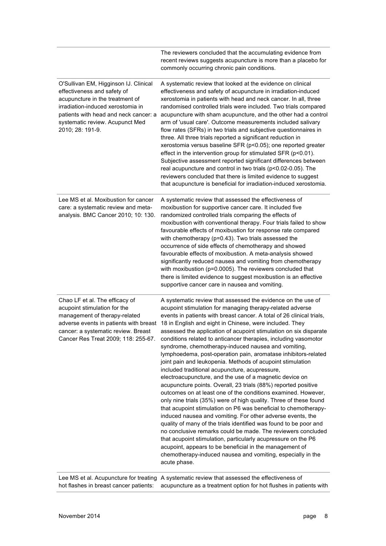|                                                                                                                                                                                                                                              | The reviewers concluded that the accumulating evidence from<br>recent reviews suggests acupuncture is more than a placebo for<br>commonly occurring chronic pain conditions.                                                                                                                                                                                                                                                                                                                                                                                                                                                                                                                                                                                                                                                                                                                                                                                                                                                                                                                                                                                                                                                                                                                                                                                                                       |
|----------------------------------------------------------------------------------------------------------------------------------------------------------------------------------------------------------------------------------------------|----------------------------------------------------------------------------------------------------------------------------------------------------------------------------------------------------------------------------------------------------------------------------------------------------------------------------------------------------------------------------------------------------------------------------------------------------------------------------------------------------------------------------------------------------------------------------------------------------------------------------------------------------------------------------------------------------------------------------------------------------------------------------------------------------------------------------------------------------------------------------------------------------------------------------------------------------------------------------------------------------------------------------------------------------------------------------------------------------------------------------------------------------------------------------------------------------------------------------------------------------------------------------------------------------------------------------------------------------------------------------------------------------|
| O'Sullivan EM, Higginson IJ. Clinical<br>effectiveness and safety of<br>acupuncture in the treatment of<br>irradiation-induced xerostomia in<br>patients with head and neck cancer: a<br>systematic review. Acupunct Med<br>2010; 28: 191-9. | A systematic review that looked at the evidence on clinical<br>effectiveness and safety of acupuncture in irradiation-induced<br>xerostomia in patients with head and neck cancer. In all, three<br>randomised controlled trials were included. Two trials compared<br>acupuncture with sham acupuncture, and the other had a control<br>arm of 'usual care'. Outcome measurements included salivary<br>flow rates (SFRs) in two trials and subjective questionnaires in<br>three. All three trials reported a significant reduction in<br>xerostomia versus baseline SFR (p<0.05); one reported greater<br>effect in the intervention group for stimulated SFR (p<0.01).<br>Subjective assessment reported significant differences between<br>real acupuncture and control in two trials (p<0.02-0.05). The<br>reviewers concluded that there is limited evidence to suggest<br>that acupuncture is beneficial for irradiation-induced xerostomia.                                                                                                                                                                                                                                                                                                                                                                                                                                                |
| Lee MS et al. Moxibustion for cancer<br>care: a systematic review and meta-<br>analysis. BMC Cancer 2010; 10: 130.                                                                                                                           | A systematic review that assessed the effectiveness of<br>moxibustion for supportive cancer care. It included five<br>randomized controlled trials comparing the effects of<br>moxibustion with conventional therapy. Four trials failed to show<br>favourable effects of moxibustion for response rate compared<br>with chemotherapy (p=0.43). Two trials assessed the<br>occurrence of side effects of chemotherapy and showed<br>favourable effects of moxibustion. A meta-analysis showed<br>significantly reduced nausea and vomiting from chemotherapy<br>with moxibustion (p=0.0005). The reviewers concluded that<br>there is limited evidence to suggest moxibustion is an effective<br>supportive cancer care in nausea and vomiting.                                                                                                                                                                                                                                                                                                                                                                                                                                                                                                                                                                                                                                                    |
| Chao LF et al. The efficacy of<br>acupoint stimulation for the<br>management of therapy-related<br>adverse events in patients with breast<br>cancer: a systematic review. Breast<br>Cancer Res Treat 2009; 118: 255-67.                      | A systematic review that assessed the evidence on the use of<br>acupoint stimulation for managing therapy-related adverse<br>events in patients with breast cancer. A total of 26 clinical trials,<br>18 in English and eight in Chinese, were included. They<br>assessed the application of acupoint stimulation on six disparate<br>conditions related to anticancer therapies, including vasomotor<br>syndrome, chemotherapy-induced nausea and vomiting,<br>lymphoedema, post-operation pain, aromatase inhibitors-related<br>joint pain and leukopenia. Methods of acupoint stimulation<br>included traditional acupuncture, acupressure,<br>electroacupuncture, and the use of a magnetic device on<br>acupuncture points. Overall, 23 trials (88%) reported positive<br>outcomes on at least one of the conditions examined. However,<br>only nine trials (35%) were of high quality. Three of these found<br>that acupoint stimulation on P6 was beneficial to chemotherapy-<br>induced nausea and vomiting. For other adverse events, the<br>quality of many of the trials identified was found to be poor and<br>no conclusive remarks could be made. The reviewers concluded<br>that acupoint stimulation, particularly acupressure on the P6<br>acupoint, appears to be beneficial in the management of<br>chemotherapy-induced nausea and vomiting, especially in the<br>acute phase. |

Lee MS et al. Acupuncture for treating A systematic review that assessed the effectiveness of hot flashes in breast cancer patients: acupuncture as a treatment option for hot flushes in patients with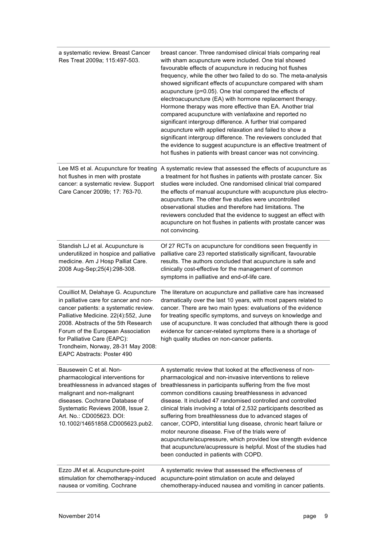| a systematic review. Breast Cancer<br>Res Treat 2009a; 115:497-503.                                                                                                                                                                                                                                                                                   | breast cancer. Three randomised clinical trials comparing real<br>with sham acupuncture were included. One trial showed<br>favourable effects of acupuncture in reducing hot flushes<br>frequency, while the other two failed to do so. The meta-analysis<br>showed significant effects of acupuncture compared with sham<br>acupuncture (p=0.05). One trial compared the effects of<br>electroacupuncture (EA) with hormone replacement therapy.<br>Hormone therapy was more effective than EA. Another trial<br>compared acupuncture with venlafaxine and reported no<br>significant intergroup difference. A further trial compared<br>acupuncture with applied relaxation and failed to show a<br>significant intergroup difference. The reviewers concluded that<br>the evidence to suggest acupuncture is an effective treatment of<br>hot flushes in patients with breast cancer was not convincing. |
|-------------------------------------------------------------------------------------------------------------------------------------------------------------------------------------------------------------------------------------------------------------------------------------------------------------------------------------------------------|-------------------------------------------------------------------------------------------------------------------------------------------------------------------------------------------------------------------------------------------------------------------------------------------------------------------------------------------------------------------------------------------------------------------------------------------------------------------------------------------------------------------------------------------------------------------------------------------------------------------------------------------------------------------------------------------------------------------------------------------------------------------------------------------------------------------------------------------------------------------------------------------------------------|
| Lee MS et al. Acupuncture for treating<br>hot flushes in men with prostate<br>cancer: a systematic review. Support<br>Care Cancer 2009b; 17: 763-70.                                                                                                                                                                                                  | A systematic review that assessed the effects of acupuncture as<br>a treatment for hot flushes in patients with prostate cancer. Six<br>studies were included. One randomised clinical trial compared<br>the effects of manual acupuncture with acupuncture plus electro-<br>acupuncture. The other five studies were uncontrolled<br>observational studies and therefore had limitations. The<br>reviewers concluded that the evidence to suggest an effect with<br>acupuncture on hot flushes in patients with prostate cancer was<br>not convincing.                                                                                                                                                                                                                                                                                                                                                     |
| Standish LJ et al. Acupuncture is<br>underutilized in hospice and palliative<br>medicine. Am J Hosp Palliat Care.<br>2008 Aug-Sep; 25(4): 298-308.                                                                                                                                                                                                    | Of 27 RCTs on acupuncture for conditions seen frequently in<br>palliative care 23 reported statistically significant, favourable<br>results. The authors concluded that acupuncture is safe and<br>clinically cost-effective for the management of common<br>symptoms in palliative and end-of-life care.                                                                                                                                                                                                                                                                                                                                                                                                                                                                                                                                                                                                   |
| Couilliot M, Delahaye G. Acupuncture<br>in palliative care for cancer and non-<br>cancer patients: a systematic review.<br>Palliative Medicine. 22(4):552, June<br>2008. Abstracts of the 5th Research<br>Forum of the European Association<br>for Palliative Care (EAPC):<br>Trondheim, Norway, 28-31 May 2008:<br><b>EAPC Abstracts: Poster 490</b> | The literature on acupuncture and palliative care has increased<br>dramatically over the last 10 years, with most papers related to<br>cancer. There are two main types: evaluations of the evidence<br>for treating specific symptoms, and surveys on knowledge and<br>use of acupuncture. It was concluded that although there is good<br>evidence for cancer-related symptoms there is a shortage of<br>high quality studies on non-cancer patients.                                                                                                                                                                                                                                                                                                                                                                                                                                                     |
| Bausewein C et al. Non-<br>pharmacological interventions for<br>breathlessness in advanced stages of<br>malignant and non-malignant<br>diseases. Cochrane Database of<br>Systematic Reviews 2008, Issue 2.<br>Art. No.: CD005623. DOI:<br>10.1002/14651858.CD005623.pub2.                                                                             | A systematic review that looked at the effectiveness of non-<br>pharmacological and non-invasive interventions to relieve<br>breathlessness in participants suffering from the five most<br>common conditions causing breathlessness in advanced<br>disease. It included 47 randomised controlled and controlled<br>clinical trials involving a total of 2,532 participants described as<br>suffering from breathlessness due to advanced stages of<br>cancer, COPD, interstitial lung disease, chronic heart failure or<br>motor neurone disease. Five of the trials were of<br>acupuncture/acupressure, which provided low strength evidence<br>that acupuncture/acupressure is helpful. Most of the studies had<br>been conducted in patients with COPD.                                                                                                                                                 |
| Ezzo JM et al. Acupuncture-point<br>stimulation for chemotherapy-induced<br>nausea or vomiting. Cochrane                                                                                                                                                                                                                                              | A systematic review that assessed the effectiveness of<br>acupuncture-point stimulation on acute and delayed<br>chemotherapy-induced nausea and vomiting in cancer patients.                                                                                                                                                                                                                                                                                                                                                                                                                                                                                                                                                                                                                                                                                                                                |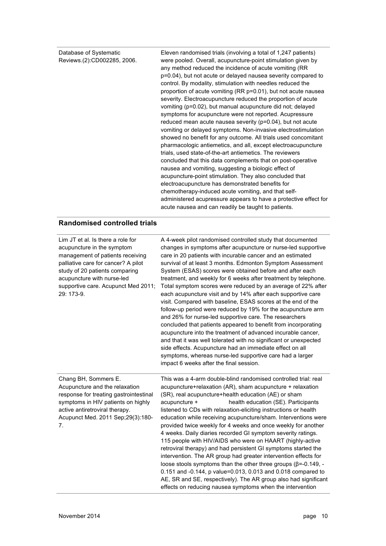Database of Systematic Reviews.(2):CD002285, 2006. Eleven randomised trials (involving a total of 1,247 patients) were pooled. Overall, acupuncture-point stimulation given by any method reduced the incidence of acute vomiting (RR p=0.04), but not acute or delayed nausea severity compared to control. By modality, stimulation with needles reduced the proportion of acute vomiting (RR p=0.01), but not acute nausea severity. Electroacupuncture reduced the proportion of acute vomiting (p=0.02), but manual acupuncture did not; delayed symptoms for acupuncture were not reported. Acupressure reduced mean acute nausea severity (p=0.04), but not acute vomiting or delayed symptoms. Non-invasive electrostimulation showed no benefit for any outcome. All trials used concomitant pharmacologic antiemetics, and all, except electroacupuncture trials, used state-of-the-art antiemetics. The reviewers concluded that this data complements that on post-operative nausea and vomiting, suggesting a biologic effect of acupuncture-point stimulation. They also concluded that electroacupuncture has demonstrated benefits for chemotherapy-induced acute vomiting, and that selfadministered acupressure appears to have a protective effect for acute nausea and can readily be taught to patients.

#### **Randomised controlled trials**

| Lim JT et al. Is there a role for<br>acupuncture in the symptom<br>management of patients receiving<br>palliative care for cancer? A pilot<br>study of 20 patients comparing<br>acupuncture with nurse-led<br>supportive care. Acupunct Med 2011;<br>29: 173-9. | A 4-week pilot randomised controlled study that documented<br>changes in symptoms after acupuncture or nurse-led supportive<br>care in 20 patients with incurable cancer and an estimated<br>survival of at least 3 months. Edmonton Symptom Assessment<br>System (ESAS) scores were obtained before and after each<br>treatment, and weekly for 6 weeks after treatment by telephone.<br>Total symptom scores were reduced by an average of 22% after<br>each acupuncture visit and by 14% after each supportive care<br>visit. Compared with baseline, ESAS scores at the end of the<br>follow-up period were reduced by 19% for the acupuncture arm<br>and 26% for nurse-led supportive care. The researchers<br>concluded that patients appeared to benefit from incorporating<br>acupuncture into the treatment of advanced incurable cancer,<br>and that it was well tolerated with no significant or unexpected<br>side effects. Acupuncture had an immediate effect on all<br>symptoms, whereas nurse-led supportive care had a larger<br>impact 6 weeks after the final session. |
|-----------------------------------------------------------------------------------------------------------------------------------------------------------------------------------------------------------------------------------------------------------------|-------------------------------------------------------------------------------------------------------------------------------------------------------------------------------------------------------------------------------------------------------------------------------------------------------------------------------------------------------------------------------------------------------------------------------------------------------------------------------------------------------------------------------------------------------------------------------------------------------------------------------------------------------------------------------------------------------------------------------------------------------------------------------------------------------------------------------------------------------------------------------------------------------------------------------------------------------------------------------------------------------------------------------------------------------------------------------------------|
| Chang BH, Sommers E.<br>Acupuncture and the relaxation<br>response for treating gastrointestinal<br>symptoms in HIV patients on highly<br>active antiretroviral therapy.<br>Acupunct Med. 2011 Sep; 29(3): 180-<br>7.                                           | This was a 4-arm double-blind randomised controlled trial: real<br>acupuncture+relaxation (AR), sham acupuncture + relaxation<br>(SR), real acupuncture+health education (AE) or sham<br>health education (SE). Participants<br>acupuncture +<br>listened to CDs with relaxation-eliciting instructions or health<br>education while receiving acupuncture/sham. Interventions were<br>provided twice weekly for 4 weeks and once weekly for another<br>4 weeks. Daily diaries recorded GI symptom severity ratings.<br>115 people with HIV/AIDS who were on HAART (highly-active<br>retroviral therapy) and had persistent GI symptoms started the<br>intervention. The AR group had greater intervention effects for<br>loose stools symptoms than the other three groups ( $\beta$ =-0.149, -<br>0.151 and -0.144, p value=0.013, 0.013 and 0.018 compared to<br>AE, SR and SE, respectively). The AR group also had significant<br>effects on reducing nausea symptoms when the intervention                                                                                          |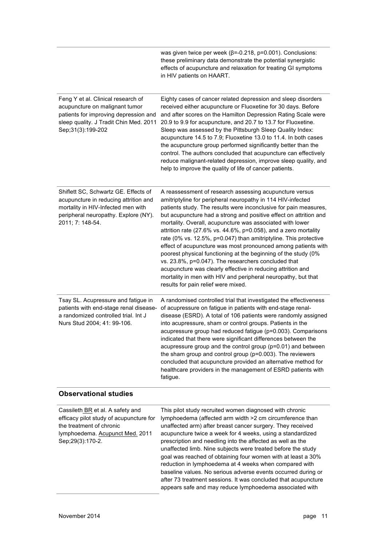|                                                                                                                                                                                 | was given twice per week ( $\beta$ =-0.218, p=0.001). Conclusions:<br>these preliminary data demonstrate the potential synergistic<br>effects of acupuncture and relaxation for treating GI symptoms<br>in HIV patients on HAART.                                                                                                                                                                                                                                                                                                                                                                                                                                                                                                                                                                                                    |
|---------------------------------------------------------------------------------------------------------------------------------------------------------------------------------|--------------------------------------------------------------------------------------------------------------------------------------------------------------------------------------------------------------------------------------------------------------------------------------------------------------------------------------------------------------------------------------------------------------------------------------------------------------------------------------------------------------------------------------------------------------------------------------------------------------------------------------------------------------------------------------------------------------------------------------------------------------------------------------------------------------------------------------|
| Feng Y et al. Clinical research of<br>acupuncture on malignant tumor<br>patients for improving depression and<br>sleep quality. J Tradit Chin Med. 2011<br>Sep;31(3):199-202    | Eighty cases of cancer related depression and sleep disorders<br>received either acupuncture or Fluoxetine for 30 days. Before<br>and after scores on the Hamilton Depression Rating Scale were<br>20.9 to 9.9 for acupuncture, and 20.7 to 13.7 for Fluoxetine.<br>Sleep was assessed by the Pittsburgh Sleep Quality Index:<br>acupuncture 14.5 to 7.9; Fluoxetine 13.0 to 11.4. In both cases<br>the acupuncture group performed significantly better than the<br>control. The authors concluded that acupuncture can effectively<br>reduce malignant-related depression, improve sleep quality, and<br>help to improve the quality of life of cancer patients.                                                                                                                                                                   |
| Shiflett SC, Schwartz GE. Effects of<br>acupuncture in reducing attrition and<br>mortality in HIV-Infected men with<br>peripheral neuropathy. Explore (NY).<br>2011; 7: 148-54. | A reassessment of research assessing acupuncture versus<br>amitriptyline for peripheral neuropathy in 114 HIV-infected<br>patients study. The results were inconclusive for pain measures,<br>but acupuncture had a strong and positive effect on attrition and<br>mortality. Overall, acupuncture was associated with lower<br>attrition rate (27.6% vs. 44.6%, p=0.058), and a zero mortality<br>rate (0% vs. 12.5%, p=0.047) than amitriptyline. This protective<br>effect of acupuncture was most pronounced among patients with<br>poorest physical functioning at the beginning of the study (0%<br>vs. 23.8%, p=0.047). The researchers concluded that<br>acupuncture was clearly effective in reducing attrition and<br>mortality in men with HIV and peripheral neuropathy, but that<br>results for pain relief were mixed. |
| Tsay SL. Acupressure and fatigue in<br>patients with end-stage renal disease-<br>a randomized controlled trial. Int J<br>Nurs Stud 2004; 41: 99-106.                            | A randomised controlled trial that investigated the effectiveness<br>of acupressure on fatigue in patients with end-stage renal-<br>disease (ESRD). A total of 106 patients were randomly assigned<br>into acupressure, sham or control groups. Patients in the<br>acupressure group had reduced fatigue (p=0.003). Comparisons<br>indicated that there were significant differences between the<br>acupressure group and the control group (p=0.01) and between<br>the sham group and control group (p=0.003). The reviewers<br>concluded that acupuncture provided an alternative method for<br>healthcare providers in the management of ESRD patients with<br>fatigue.                                                                                                                                                           |
| <b>Observational studies</b>                                                                                                                                                    |                                                                                                                                                                                                                                                                                                                                                                                                                                                                                                                                                                                                                                                                                                                                                                                                                                      |
| Cassileth BR et al. A safety and<br>efficacy pilot study of acupuncture for<br>the treatment of chronic<br>lymphoedema. Acupunct Med. 2011<br>Sep;29(3):170-2.                  | This pilot study recruited women diagnosed with chronic<br>lymphoedema (affected arm width >2 cm circumference than<br>unaffected arm) after breast cancer surgery. They received<br>acupuncture twice a week for 4 weeks, using a standardized<br>prescription and needling into the affected as well as the<br>unaffected limb. Nine subjects were treated before the study<br>goal was reached of obtaining four women with at least a 30%<br>reduction in lymphoedema at 4 weeks when compared with<br>baseline values. No serious adverse events occurred during or<br>after 73 treatment sessions. It was concluded that acupuncture<br>appears safe and may reduce lymphoedema associated with                                                                                                                                |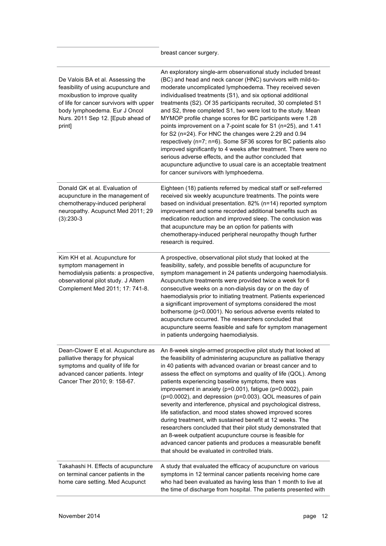|                                                                                                                                                                                                                                        | breast cancer surgery.                                                                                                                                                                                                                                                                                                                                                                                                                                                                                                                                                                                                                                                                                                                                                                                                                                                                            |
|----------------------------------------------------------------------------------------------------------------------------------------------------------------------------------------------------------------------------------------|---------------------------------------------------------------------------------------------------------------------------------------------------------------------------------------------------------------------------------------------------------------------------------------------------------------------------------------------------------------------------------------------------------------------------------------------------------------------------------------------------------------------------------------------------------------------------------------------------------------------------------------------------------------------------------------------------------------------------------------------------------------------------------------------------------------------------------------------------------------------------------------------------|
| De Valois BA et al. Assessing the<br>feasibility of using acupuncture and<br>moxibustion to improve quality<br>of life for cancer survivors with upper<br>body lymphoedema. Eur J Oncol<br>Nurs. 2011 Sep 12. [Epub ahead of<br>print] | An exploratory single-arm observational study included breast<br>(BC) and head and neck cancer (HNC) survivors with mild-to-<br>moderate uncomplicated lymphoedema. They received seven<br>individualised treatments (S1), and six optional additional<br>treatments (S2). Of 35 participants recruited, 30 completed S1<br>and S2, three completed S1, two were lost to the study. Mean<br>MYMOP profile change scores for BC participants were 1.28<br>points improvement on a 7-point scale for S1 (n=25), and 1.41<br>for S2 (n=24). For HNC the changes were 2.29 and 0.94<br>respectively (n=7; n=6). Some SF36 scores for BC patients also<br>improved significantly to 4 weeks after treatment. There were no<br>serious adverse effects, and the author concluded that<br>acupuncture adjunctive to usual care is an acceptable treatment<br>for cancer survivors with lymphoedema.      |
| Donald GK et al. Evaluation of<br>acupuncture in the management of<br>chemotherapy-induced peripheral<br>neuropathy. Acupunct Med 2011; 29<br>$(3):230-3$                                                                              | Eighteen (18) patients referred by medical staff or self-referred<br>received six weekly acupuncture treatments. The points were<br>based on individual presentation. 82% (n=14) reported symptom<br>improvement and some recorded additional benefits such as<br>medication reduction and improved sleep. The conclusion was<br>that acupuncture may be an option for patients with<br>chemotherapy-induced peripheral neuropathy though further<br>research is required.                                                                                                                                                                                                                                                                                                                                                                                                                        |
| Kim KH et al. Acupuncture for<br>symptom management in<br>hemodialysis patients: a prospective,<br>observational pilot study. J Altern<br>Complement Med 2011; 17: 741-8.                                                              | A prospective, observational pilot study that looked at the<br>feasibility, safety, and possible benefits of acupuncture for<br>symptom management in 24 patients undergoing haemodialysis.<br>Acupuncture treatments were provided twice a week for 6<br>consecutive weeks on a non-dialysis day or on the day of<br>haemodialysis prior to initiating treatment. Patients experienced<br>a significant improvement of symptoms considered the most<br>bothersome (p<0.0001). No serious adverse events related to<br>acupuncture occurred. The researchers concluded that<br>acupuncture seems feasible and safe for symptom management<br>in patients undergoing haemodialysis.                                                                                                                                                                                                                |
| Dean-Clower E et al. Acupuncture as<br>palliative therapy for physical<br>symptoms and quality of life for<br>advanced cancer patients. Integr<br>Cancer Ther 2010; 9: 158-67.                                                         | An 8-week single-armed prospective pilot study that looked at<br>the feasibility of administering acupuncture as palliative therapy<br>in 40 patients with advanced ovarian or breast cancer and to<br>assess the effect on symptoms and quality of life (QOL). Among<br>patients experiencing baseline symptoms, there was<br>improvement in anxiety (p=0.001), fatigue (p=0.0002), pain<br>(p=0.0002), and depression (p=0.003). QOL measures of pain<br>severity and interference, physical and psychological distress,<br>life satisfaction, and mood states showed improved scores<br>during treatment, with sustained benefit at 12 weeks. The<br>researchers concluded that their pilot study demonstrated that<br>an 8-week outpatient acupuncture course is feasible for<br>advanced cancer patients and produces a measurable benefit<br>that should be evaluated in controlled trials. |
| Takahashi H. Effects of acupuncture<br>on terminal cancer patients in the<br>home care setting. Med Acupunct                                                                                                                           | A study that evaluated the efficacy of acupuncture on various<br>symptoms in 12 terminal cancer patients receiving home care<br>who had been evaluated as having less than 1 month to live at<br>the time of discharge from hospital. The patients presented with                                                                                                                                                                                                                                                                                                                                                                                                                                                                                                                                                                                                                                 |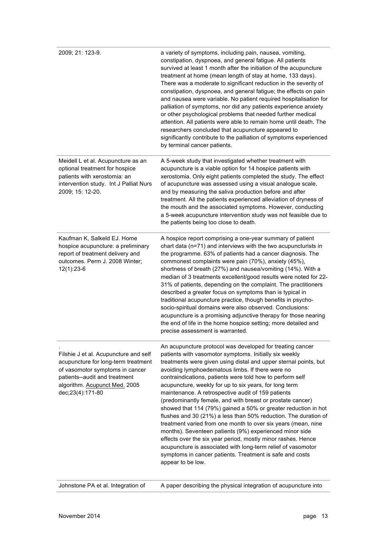| 2009; 21: 123-9.                                                                                                                                                                                      | a variety of symptoms, including pain, nausea, vomiting,<br>constipation, dyspnoea, and general fatigue. All patients<br>survived at least 1 month after the initiation of the acupuncture<br>treatment at home (mean length of stay at home, 133 days).<br>There was a moderate to significant reduction in the severity of<br>constipation, dyspnoea, and general fatigue; the effects on pain<br>and nausea were variable. No patient required hospitalisation for<br>palliation of symptoms, nor did any patients experience anxiety<br>or other psychological problems that needed further medical<br>attention. All patients were able to remain home until death. The<br>researchers concluded that acupuncture appeared to<br>significantly contribute to the palliation of symptoms experienced<br>by terminal cancer patients.                                                                                                                                 |
|-------------------------------------------------------------------------------------------------------------------------------------------------------------------------------------------------------|--------------------------------------------------------------------------------------------------------------------------------------------------------------------------------------------------------------------------------------------------------------------------------------------------------------------------------------------------------------------------------------------------------------------------------------------------------------------------------------------------------------------------------------------------------------------------------------------------------------------------------------------------------------------------------------------------------------------------------------------------------------------------------------------------------------------------------------------------------------------------------------------------------------------------------------------------------------------------|
| Meidell L et al. Acupuncture as an<br>optional treatment for hospice<br>patients with xerostomia: an<br>intervention study. Int J Palliat Nurs<br>2009; 15: 12-20.                                    | A 5-week study that investigated whether treatment with<br>acupuncture is a viable option for 14 hospice patients with<br>xerostomia. Only eight patients completed the study. The effect<br>of acupuncture was assessed using a visual analogue scale,<br>and by measuring the saliva production before and after<br>treatment. All the patients experienced alleviation of dryness of<br>the mouth and the associated symptoms. However, conducting<br>a 5-week acupuncture intervention study was not feasible due to<br>the patients being too close to death.                                                                                                                                                                                                                                                                                                                                                                                                       |
| Kaufman K, Salkeld EJ. Home<br>hospice acupuncture: a preliminary<br>report of treatment delivery and<br>outcomes. Perm J. 2008 Winter;<br>$12(1):23-6$                                               | A hospice report comprising a one-year summary of patient<br>chart data (n=71) and interviews with the two acupuncturists in<br>the programme. 63% of patients had a cancer diagnosis. The<br>commonest complaints were pain (70%), anxiety (45%),<br>shortness of breath (27%) and nausea/vomiting (14%). With a<br>median of 3 treatments excellent/good results were noted for 22-<br>31% of patients, depending on the complaint. The practitioners<br>described a greater focus on symptoms than is typical in<br>traditional acupuncture practice, though benefits in psycho-<br>socio-spiritual domains were also observed. Conclusions:<br>acupuncture is a promising adjunctive therapy for those nearing<br>the end of life in the home hospice setting; more detailed and<br>precise assessment is warranted.                                                                                                                                                 |
| Filshie J et al. Acupuncture and self<br>acupuncture for long-term treatment<br>of vasomotor symptoms in cancer<br>patients--audit and treatment<br>algorithm. Acupunct Med. 2005<br>dec;23(4):171-80 | An acupuncture protocol was developed for treating cancer<br>patients with vasomotor symptoms. Initially six weekly<br>treatments were given using distal and upper sternal points, but<br>avoiding lymphoedematous limbs. If there were no<br>contraindications, patients were told how to perform self<br>acupuncture, weekly for up to six years, for long term<br>maintenance. A retrospective audit of 159 patients<br>(predominantly female, and with breast or prostate cancer)<br>showed that 114 (79%) gained a 50% or greater reduction in hot<br>flushes and 30 (21%) a less than 50% reduction. The duration of<br>treatment varied from one month to over six years (mean, nine<br>months). Seventeen patients (9%) experienced minor side<br>effects over the six year period, mostly minor rashes. Hence<br>acupuncture is associated with long-term relief of vasomotor<br>symptoms in cancer patients. Treatment is safe and costs<br>appear to be low. |

Johnstone PA et al. Integration of A paper describing the physical integration of acupuncture into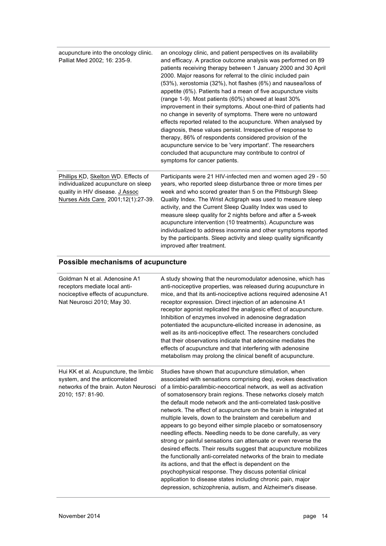| Palliat Med 2002; 16: 235-9.                                                                                                                         | an oncology clinic, and patient perspectives on its availability<br>and efficacy. A practice outcome analysis was performed on 89<br>patients receiving therapy between 1 January 2000 and 30 April<br>2000. Major reasons for referral to the clinic included pain<br>(53%), xerostomia (32%), hot flashes (6%) and nausea/loss of<br>appetite (6%). Patients had a mean of five acupuncture visits<br>(range 1-9). Most patients (60%) showed at least 30%<br>improvement in their symptoms. About one-third of patients had<br>no change in severity of symptoms. There were no untoward<br>effects reported related to the acupuncture. When analysed by<br>diagnosis, these values persist. Irrespective of response to<br>therapy, 86% of respondents considered provision of the<br>acupuncture service to be 'very important'. The researchers<br>concluded that acupuncture may contribute to control of<br>symptoms for cancer patients. |
|------------------------------------------------------------------------------------------------------------------------------------------------------|----------------------------------------------------------------------------------------------------------------------------------------------------------------------------------------------------------------------------------------------------------------------------------------------------------------------------------------------------------------------------------------------------------------------------------------------------------------------------------------------------------------------------------------------------------------------------------------------------------------------------------------------------------------------------------------------------------------------------------------------------------------------------------------------------------------------------------------------------------------------------------------------------------------------------------------------------|
| Phillips KD, Skelton WD. Effects of<br>individualized acupuncture on sleep<br>quality in HIV disease. J Assoc<br>Nurses Aids Care. 2001;12(1):27-39. | Participants were 21 HIV-infected men and women aged 29 - 50<br>years, who reported sleep disturbance three or more times per<br>week and who scored greater than 5 on the Pittsburgh Sleep<br>Quality Index. The Wrist Actigraph was used to measure sleep<br>activity, and the Current Sleep Quality Index was used to<br>measure sleep quality for 2 nights before and after a 5-week<br>acupuncture intervention (10 treatments). Acupuncture was<br>individualized to address insomnia and other symptoms reported<br>by the participants. Sleep activity and sleep quality significantly<br>improved after treatment.                                                                                                                                                                                                                                                                                                                        |
| Possible mechanisms of acupuncture                                                                                                                   |                                                                                                                                                                                                                                                                                                                                                                                                                                                                                                                                                                                                                                                                                                                                                                                                                                                                                                                                                    |
| Goldman N et al. Adenosine A1<br>receptors mediate local anti-<br>nociceptive effects of acupuncture.                                                | A study showing that the neuromodulator adenosine, which has<br>anti-nociceptive properties, was released during acupuncture in                                                                                                                                                                                                                                                                                                                                                                                                                                                                                                                                                                                                                                                                                                                                                                                                                    |
| Nat Neurosci 2010; May 30.                                                                                                                           | mice, and that its anti-nociceptive actions required adenosine A1<br>receptor expression. Direct injection of an adenosine A1<br>receptor agonist replicated the analgesic effect of acupuncture.<br>Inhibition of enzymes involved in adenosine degradation<br>potentiated the acupuncture-elicited increase in adenosine, as<br>well as its anti-nociceptive effect. The researchers concluded<br>that their observations indicate that adenosine mediates the<br>effects of acupuncture and that interfering with adenosine<br>metabolism may prolong the clinical benefit of acupuncture.                                                                                                                                                                                                                                                                                                                                                      |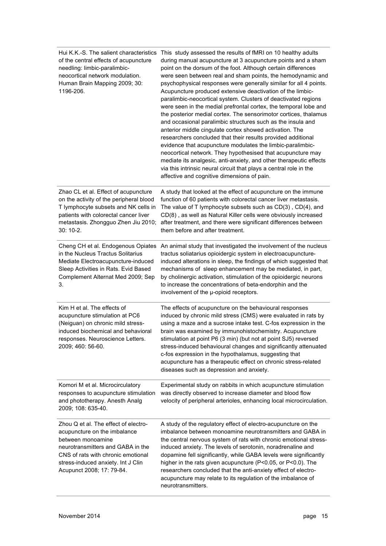| Hui K.K.-S. The salient characteristics<br>of the central effects of acupuncture<br>needling: limbic-paralimbic-<br>neocortical network modulation.<br>Human Brain Mapping 2009; 30:<br>1196-206.                                       | This study assessed the results of fMRI on 10 healthy adults<br>during manual acupuncture at 3 acupuncture points and a sham<br>point on the dorsum of the foot. Although certain differences<br>were seen between real and sham points, the hemodynamic and<br>psychophysical responses were generally similar for all 4 points.<br>Acupuncture produced extensive deactivation of the limbic-<br>paralimbic-neocortical system. Clusters of deactivated regions<br>were seen in the medial prefrontal cortex, the temporal lobe and<br>the posterior medial cortex. The sensorimotor cortices, thalamus<br>and occasional paralimbic structures such as the insula and<br>anterior middle cingulate cortex showed activation. The<br>researchers concluded that their results provided additional<br>evidence that acupuncture modulates the limbic-paralimbic-<br>neocortical network. They hypothesised that acupuncture may<br>mediate its analgesic, anti-anxiety, and other therapeutic effects<br>via this intrinsic neural circuit that plays a central role in the<br>affective and cognitive dimensions of pain. |
|-----------------------------------------------------------------------------------------------------------------------------------------------------------------------------------------------------------------------------------------|-----------------------------------------------------------------------------------------------------------------------------------------------------------------------------------------------------------------------------------------------------------------------------------------------------------------------------------------------------------------------------------------------------------------------------------------------------------------------------------------------------------------------------------------------------------------------------------------------------------------------------------------------------------------------------------------------------------------------------------------------------------------------------------------------------------------------------------------------------------------------------------------------------------------------------------------------------------------------------------------------------------------------------------------------------------------------------------------------------------------------------|
| Zhao CL et al. Effect of acupuncture<br>on the activity of the peripheral blood<br>T lymphocyte subsets and NK cells in<br>patients with colorectal cancer liver<br>metastasis. Zhongguo Zhen Jiu 2010;<br>30: 10-2.                    | A study that looked at the effect of acupuncture on the immune<br>function of 60 patients with colorectal cancer liver metastasis.<br>The value of T lymphocyte subsets such as CD(3), CD(4), and<br>CD(8), as well as Natural Killer cells were obviously increased<br>after treatment, and there were significant differences between<br>them before and after treatment.                                                                                                                                                                                                                                                                                                                                                                                                                                                                                                                                                                                                                                                                                                                                                 |
| Cheng CH et al. Endogenous Opiates<br>in the Nucleus Tractus Solitarius<br>Mediate Electroacupuncture-induced<br>Sleep Activities in Rats. Evid Based<br>Complement Alternat Med 2009; Sep<br>3.                                        | An animal study that investigated the involvement of the nucleus<br>tractus soliatarius opioidergic system in electroacupuncture-<br>induced alterations in sleep, the findings of which suggested that<br>mechanisms of sleep enhancement may be mediated, in part,<br>by cholinergic activation, stimulation of the opioidergic neurons<br>to increase the concentrations of beta-endorphin and the<br>involvement of the µ-opioid receptors.                                                                                                                                                                                                                                                                                                                                                                                                                                                                                                                                                                                                                                                                             |
| Kim H et al. The effects of<br>acupuncture stimulation at PC6<br>(Neiguan) on chronic mild stress-<br>induced biochemical and behavioral<br>responses. Neuroscience Letters.<br>2009; 460: 56-60.                                       | The effects of acupuncture on the behavioural responses<br>induced by chronic mild stress (CMS) were evaluated in rats by<br>using a maze and a sucrose intake test. C-fos expression in the<br>brain was examined by immunohistochemistry. Acupuncture<br>stimulation at point P6 (3 min) (but not at point SJ5) reversed<br>stress-induced behavioural changes and significantly attenuated<br>c-fos expression in the hypothalamus, suggesting that<br>acupuncture has a therapeutic effect on chronic stress-related<br>diseases such as depression and anxiety.                                                                                                                                                                                                                                                                                                                                                                                                                                                                                                                                                        |
| Komori M et al. Microcirculatory<br>responses to acupuncture stimulation<br>and phototherapy. Anesth Analg<br>2009; 108: 635-40.                                                                                                        | Experimental study on rabbits in which acupuncture stimulation<br>was directly observed to increase diameter and blood flow<br>velocity of peripheral arterioles, enhancing local microcirculation.                                                                                                                                                                                                                                                                                                                                                                                                                                                                                                                                                                                                                                                                                                                                                                                                                                                                                                                         |
| Zhou Q et al. The effect of electro-<br>acupuncture on the imbalance<br>between monoamine<br>neurotransmitters and GABA in the<br>CNS of rats with chronic emotional<br>stress-induced anxiety. Int J Clin<br>Acupunct 2008; 17: 79-84. | A study of the regulatory effect of electro-acupuncture on the<br>imbalance between monoamine neurotransmitters and GABA in<br>the central nervous system of rats with chronic emotional stress-<br>induced anxiety. The levels of serotonin, noradrenaline and<br>dopamine fell significantly, while GABA levels were significantly<br>higher in the rats given acupuncture (P<0.05, or P<0.0). The<br>researchers concluded that the anti-anxiety effect of electro-<br>acupuncture may relate to its regulation of the imbalance of<br>neurotransmitters.                                                                                                                                                                                                                                                                                                                                                                                                                                                                                                                                                                |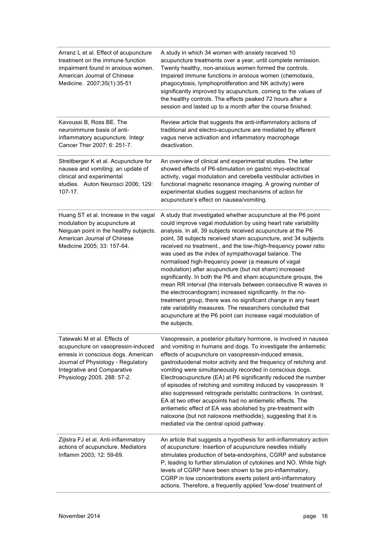| Arranz L et al. Effect of acupuncture<br>treatment on the immune function<br>impairment found in anxious women.<br>American Journal of Chinese<br>Medicine. 2007;35(1):35-51                                 | A study in which 34 women with anxiety received 10<br>acupuncture treatments over a year, until complete remission.<br>Twenty healthy, non-anxious women formed the controls.<br>Impaired immune functions in anxious women (chemotaxis,<br>phagocytosis, lymphoproliferation and NK activity) were<br>significantly improved by acupuncture, coming to the values of<br>the healthy controls. The effects peaked 72 hours after a<br>session and lasted up to a month after the course finished.                                                                                                                                                                                                                                                                                                                                                                                                                            |
|--------------------------------------------------------------------------------------------------------------------------------------------------------------------------------------------------------------|------------------------------------------------------------------------------------------------------------------------------------------------------------------------------------------------------------------------------------------------------------------------------------------------------------------------------------------------------------------------------------------------------------------------------------------------------------------------------------------------------------------------------------------------------------------------------------------------------------------------------------------------------------------------------------------------------------------------------------------------------------------------------------------------------------------------------------------------------------------------------------------------------------------------------|
| Kavoussi B, Ross BE. The<br>neuroimmune basis of anti-<br>inflammatory acupuncture. Integr<br>Cancer Ther 2007; 6: 251-7.                                                                                    | Review article that suggests the anti-inflammatory actions of<br>traditional and electro-acupuncture are mediated by efferent<br>vagus nerve activation and inflammatory macrophage<br>deactivation.                                                                                                                                                                                                                                                                                                                                                                                                                                                                                                                                                                                                                                                                                                                         |
| Streitberger K et al. Acupuncture for<br>nausea and vomiting: an update of<br>clinical and experimental<br>studies. Auton Neurosci 2006; 129:<br>$107 - 17.$                                                 | An overview of clinical and experimental studies. The latter<br>showed effects of P6-stimulation on gastric myo-electrical<br>activity, vagal modulation and cerebella vestibular activities in<br>functional magnetic resonance imaging. A growing number of<br>experimental studies suggest mechanisms of action for<br>acupuncture's effect on nausea/vomiting.                                                                                                                                                                                                                                                                                                                                                                                                                                                                                                                                                           |
| Huang ST et al. Increase in the vagal<br>modulation by acupuncture at<br>Neiguan point in the healthy subjects.<br>American Journal of Chinese<br>Medicine 2005; 33: 157-64.                                 | A study that investigated whether acupuncture at the P6 point<br>could improve vagal modulation by using heart rate variability<br>analysis. In all, 39 subjects received acupuncture at the P6<br>point, 38 subjects received sham acupuncture, and 34 subjects<br>received no treatment., and the low-/high-frequency power ratio<br>was used as the index of sympathovagal balance. The<br>normalised high-frequency power (a measure of vagal<br>modulation) after acupuncture (but not sham) increased<br>significantly. In both the P6 and sham acupuncture groups, the<br>mean RR interval (the intervals between consecutive R waves in<br>the electrocardiogram) increased significantly. In the no-<br>treatment group, there was no significant change in any heart<br>rate variability measures. The researchers concluded that<br>acupuncture at the P6 point can increase vagal modulation of<br>the subjects. |
| Tatewaki M et al. Effects of<br>acupuncture on vasopressin-induced<br>emesis in conscious dogs. American<br>Journal of Physiology - Regulatory<br>Integrative and Comparative<br>Physiology 2005. 288: 57-2. | Vasopressin, a posterior pituitary hormone, is involved in nausea<br>and vomiting in humans and dogs. To investigate the antiemetic<br>effects of acupuncture on vasopressin-induced emesis,<br>gastroduodenal motor activity and the frequency of retching and<br>vomiting were simultaneously recorded in conscious dogs.<br>Electroacupuncture (EA) at P6 significantly reduced the number<br>of episodes of retching and vomiting induced by vasopressin. It<br>also suppressed retrograde peristaltic contractions. In contrast,<br>EA at two other acupoints had no antiemetic effects. The<br>antiemetic effect of EA was abolished by pre-treatment with<br>naloxone (but not naloxone methiodide), suggesting that it is<br>mediated via the central opioid pathway.                                                                                                                                                |
| Zijlstra FJ et al. Anti-inflammatory<br>actions of acupuncture. Mediators<br>Inflamm 2003; 12: 59-69.                                                                                                        | An article that suggests a hypothesis for anti-inflammatory action<br>of acupuncture: Insertion of acupuncture needles initially<br>stimulates production of beta-endorphins, CGRP and substance<br>P, leading to further stimulation of cytokines and NO. While high<br>levels of CGRP have been shown to be pro-inflammatory,<br>CGRP in low concentrations exerts potent anti-inflammatory<br>actions. Therefore, a frequently applied 'low-dose' treatment of                                                                                                                                                                                                                                                                                                                                                                                                                                                            |